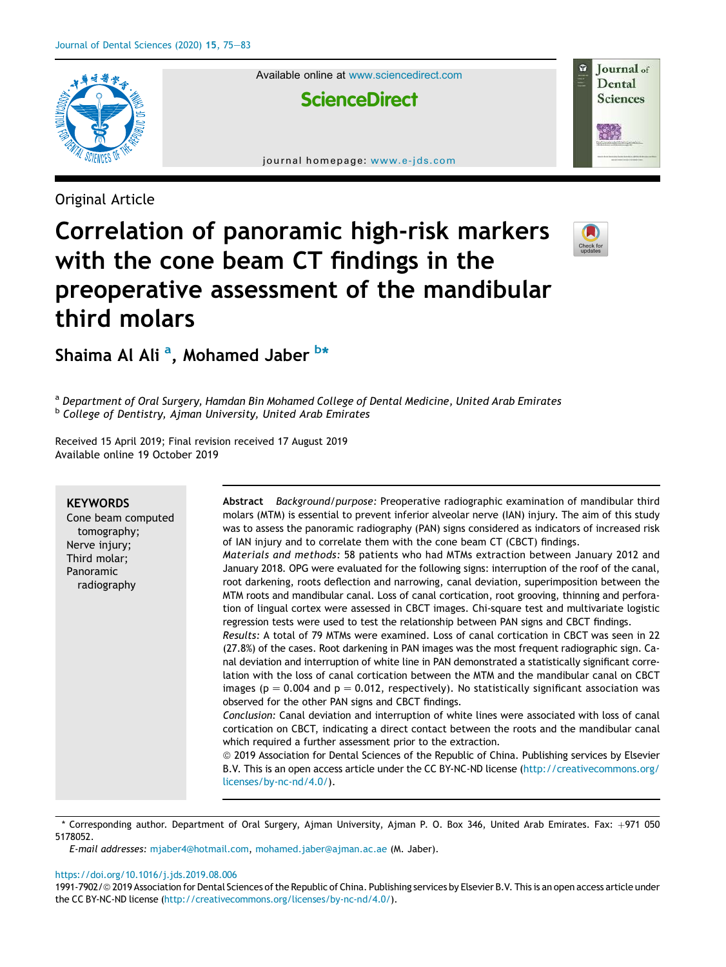

Available online at www.sciencedirect.com

**ScienceDirect** 

journal homepage: www.e-jds.com

Original Article

# Correlation of panoramic high-risk markers with the cone beam CT findings in the preoperative assessment of the mandibular third molars



Journal of Dental **Sciences** 

Shaima Al Ali <sup>a</sup>, Mohamed Jaber <sup>b</sup>\*

<sup>a</sup> Department of Oral Surgery, Hamdan Bin Mohamed College of Dental Medicine, United Arab Emirates <sup>b</sup> College of Dentistry, Ajman University, United Arab Emirates

Received 15 April 2019; Final revision received 17 August 2019 Available online 19 October 2019

| <b>KEYWORDS</b><br>Cone beam computed<br>tomography;<br>Nerve injury;<br>Third molar;<br>Panoramic<br>radiography | Abstract Background/purpose: Preoperative radiographic examination of mandibular third<br>molars (MTM) is essential to prevent inferior alveolar nerve (IAN) injury. The aim of this study<br>was to assess the panoramic radiography (PAN) signs considered as indicators of increased risk<br>of IAN injury and to correlate them with the cone beam CT (CBCT) findings.<br>Materials and methods: 58 patients who had MTMs extraction between January 2012 and<br>January 2018. OPG were evaluated for the following signs: interruption of the roof of the canal,<br>root darkening, roots deflection and narrowing, canal deviation, superimposition between the<br>MTM roots and mandibular canal. Loss of canal cortication, root grooving, thinning and perfora-<br>tion of lingual cortex were assessed in CBCT images. Chi-square test and multivariate logistic<br>regression tests were used to test the relationship between PAN signs and CBCT findings.<br>Results: A total of 79 MTMs were examined. Loss of canal cortication in CBCT was seen in 22<br>(27.8%) of the cases. Root darkening in PAN images was the most frequent radiographic sign. Ca-<br>nal deviation and interruption of white line in PAN demonstrated a statistically significant corre-<br>lation with the loss of canal cortication between the MTM and the mandibular canal on CBCT<br>images ( $p = 0.004$ and $p = 0.012$ , respectively). No statistically significant association was<br>observed for the other PAN signs and CBCT findings.<br>Conclusion: Canal deviation and interruption of white lines were associated with loss of canal<br>cortication on CBCT, indicating a direct contact between the roots and the mandibular canal<br>which required a further assessment prior to the extraction.<br>© 2019 Association for Dental Sciences of the Republic of China. Publishing services by Elsevier<br>B.V. This is an open access article under the CC BY-NC-ND license (http://creativecommons.org/<br>licenses/by-nc-nd/4.0/). |
|-------------------------------------------------------------------------------------------------------------------|-----------------------------------------------------------------------------------------------------------------------------------------------------------------------------------------------------------------------------------------------------------------------------------------------------------------------------------------------------------------------------------------------------------------------------------------------------------------------------------------------------------------------------------------------------------------------------------------------------------------------------------------------------------------------------------------------------------------------------------------------------------------------------------------------------------------------------------------------------------------------------------------------------------------------------------------------------------------------------------------------------------------------------------------------------------------------------------------------------------------------------------------------------------------------------------------------------------------------------------------------------------------------------------------------------------------------------------------------------------------------------------------------------------------------------------------------------------------------------------------------------------------------------------------------------------------------------------------------------------------------------------------------------------------------------------------------------------------------------------------------------------------------------------------------------------------------------------------------------------------------------------------------------------------------------------------------------------------------------------------------------------------------------------------------|
|                                                                                                                   |                                                                                                                                                                                                                                                                                                                                                                                                                                                                                                                                                                                                                                                                                                                                                                                                                                                                                                                                                                                                                                                                                                                                                                                                                                                                                                                                                                                                                                                                                                                                                                                                                                                                                                                                                                                                                                                                                                                                                                                                                                               |

\* Corresponding author. Department of Oral Surgery, Ajman University, Ajman P. O. Box 346, United Arab Emirates. Fax: þ971 050 5178052.

E-mail addresses: mjaber4@hotmail.com, mohamed.jaber@ajman.ac.ae (M. Jaber).

#### https://doi.org/10.1016/j.jds.2019.08.006

1991-7902/© 2019 Association for Dental Sciences of the Republic of China. Publishing services by Elsevier B.V. This is an open access article under the CC BY-NC-ND license (http://creativecommons.org/licenses/by-nc-nd/4.0/).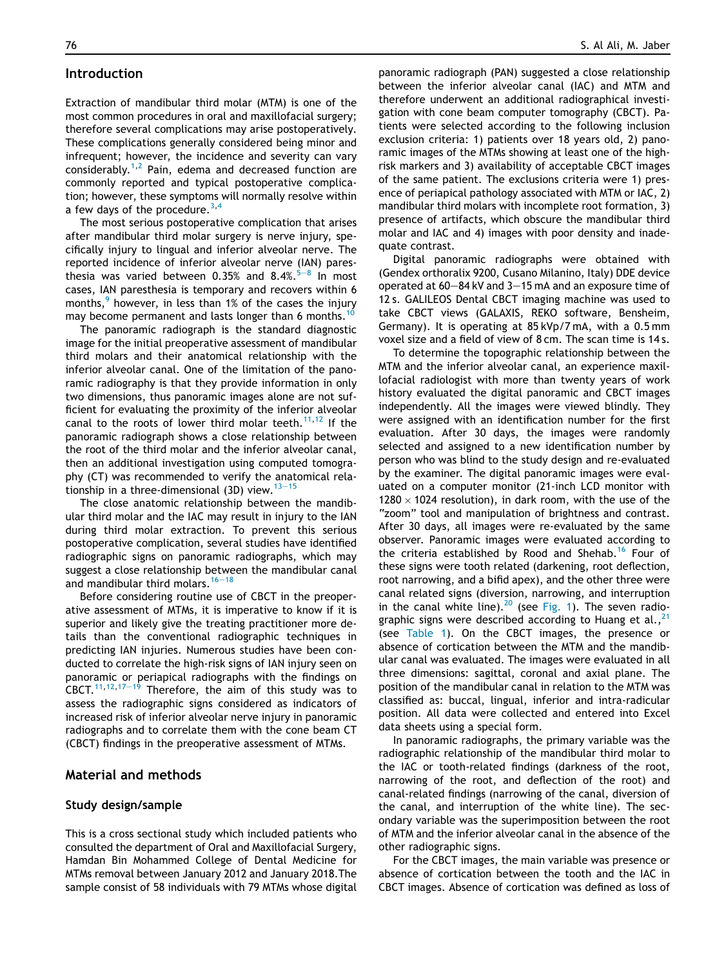### Introduction

Extraction of mandibular third molar (MTM) is one of the most common procedures in oral and maxillofacial surgery; therefore several complications may arise postoperatively. These complications generally considered being minor and infrequent; however, the incidence and severity can vary considerably.<sup>1,2</sup> Pain, edema and decreased function are commonly reported and typical postoperative complication; however, these symptoms will normally resolve within a few days of the procedure.  $3,4$ 

The most serious postoperative complication that arises after mandibular third molar surgery is nerve injury, specifically injury to lingual and inferior alveolar nerve. The reported incidence of inferior alveolar nerve (IAN) paresthesia was varied between 0.35% and 8.4%. $5-8$  In most cases, IAN paresthesia is temporary and recovers within 6 months, $9$  however, in less than 1% of the cases the injury may become permanent and lasts longer than 6 months.<sup>10</sup>

The panoramic radiograph is the standard diagnostic image for the initial preoperative assessment of mandibular third molars and their anatomical relationship with the inferior alveolar canal. One of the limitation of the panoramic radiography is that they provide information in only two dimensions, thus panoramic images alone are not sufficient for evaluating the proximity of the inferior alveolar canal to the roots of lower third molar teeth.<sup>11,12</sup> If the panoramic radiograph shows a close relationship between the root of the third molar and the inferior alveolar canal, then an additional investigation using computed tomography (CT) was recommended to verify the anatomical relationship in a three-dimensional (3D) view.  $13-15$ 

The close anatomic relationship between the mandibular third molar and the IAC may result in injury to the IAN during third molar extraction. To prevent this serious postoperative complication, several studies have identified radiographic signs on panoramic radiographs, which may suggest a close relationship between the mandibular canal and mandibular third molars.  $16-18$ 

Before considering routine use of CBCT in the preoperative assessment of MTMs, it is imperative to know if it is superior and likely give the treating practitioner more details than the conventional radiographic techniques in predicting IAN injuries. Numerous studies have been conducted to correlate the high-risk signs of IAN injury seen on panoramic or periapical radiographs with the findings on<br>CBCT.<sup>11,12,17–19</sup> Therefore, the aim of this study was to assess the radiographic signs considered as indicators of increased risk of inferior alveolar nerve injury in panoramic radiographs and to correlate them with the cone beam CT (CBCT) findings in the preoperative assessment of MTMs.

### Material and methods

#### Study design/sample

This is a cross sectional study which included patients who consulted the department of Oral and Maxillofacial Surgery, Hamdan Bin Mohammed College of Dental Medicine for MTMs removal between January 2012 and January 2018.The sample consist of 58 individuals with 79 MTMs whose digital

panoramic radiograph (PAN) suggested a close relationship between the inferior alveolar canal (IAC) and MTM and therefore underwent an additional radiographical investigation with cone beam computer tomography (CBCT). Patients were selected according to the following inclusion exclusion criteria: 1) patients over 18 years old, 2) panoramic images of the MTMs showing at least one of the highrisk markers and 3) availability of acceptable CBCT images of the same patient. The exclusions criteria were 1) presence of periapical pathology associated with MTM or IAC, 2) mandibular third molars with incomplete root formation, 3) presence of artifacts, which obscure the mandibular third molar and IAC and 4) images with poor density and inadequate contrast.

Digital panoramic radiographs were obtained with (Gendex orthoralix 9200, Cusano Milanino, Italy) DDE device operated at  $60-84$  kV and  $3-15$  mA and an exposure time of 12 s. GALILEOS Dental CBCT imaging machine was used to take CBCT views (GALAXIS, REKO software, Bensheim, Germany). It is operating at 85 kVp/7 mA, with a 0.5 mm voxel size and a field of view of 8 cm. The scan time is 14 s.

To determine the topographic relationship between the MTM and the inferior alveolar canal, an experience maxillofacial radiologist with more than twenty years of work history evaluated the digital panoramic and CBCT images independently. All the images were viewed blindly. They were assigned with an identification number for the first evaluation. After 30 days, the images were randomly selected and assigned to a new identification number by person who was blind to the study design and re-evaluated by the examiner. The digital panoramic images were evaluated on a computer monitor (21-inch LCD monitor with 1280  $\times$  1024 resolution), in dark room, with the use of the "zoom" tool and manipulation of brightness and contrast. After 30 days, all images were re-evaluated by the same observer. Panoramic images were evaluated according to the criteria established by Rood and Shehab.<sup>16</sup> Four of these signs were tooth related (darkening, root deflection, root narrowing, and a bifid apex), and the other three were canal related signs (diversion, narrowing, and interruption in the canal white line). $^{20}$  (see Fig. 1). The seven radiographic signs were described according to Huang et al.,  $21$ (see Table 1). On the CBCT images, the presence or absence of cortication between the MTM and the mandibular canal was evaluated. The images were evaluated in all three dimensions: sagittal, coronal and axial plane. The position of the mandibular canal in relation to the MTM was classified as: buccal, lingual, inferior and intra-radicular position. All data were collected and entered into Excel data sheets using a special form.

In panoramic radiographs, the primary variable was the radiographic relationship of the mandibular third molar to the IAC or tooth-related findings (darkness of the root, narrowing of the root, and deflection of the root) and canal-related findings (narrowing of the canal, diversion of the canal, and interruption of the white line). The secondary variable was the superimposition between the root of MTM and the inferior alveolar canal in the absence of the other radiographic signs.

For the CBCT images, the main variable was presence or absence of cortication between the tooth and the IAC in CBCT images. Absence of cortication was defined as loss of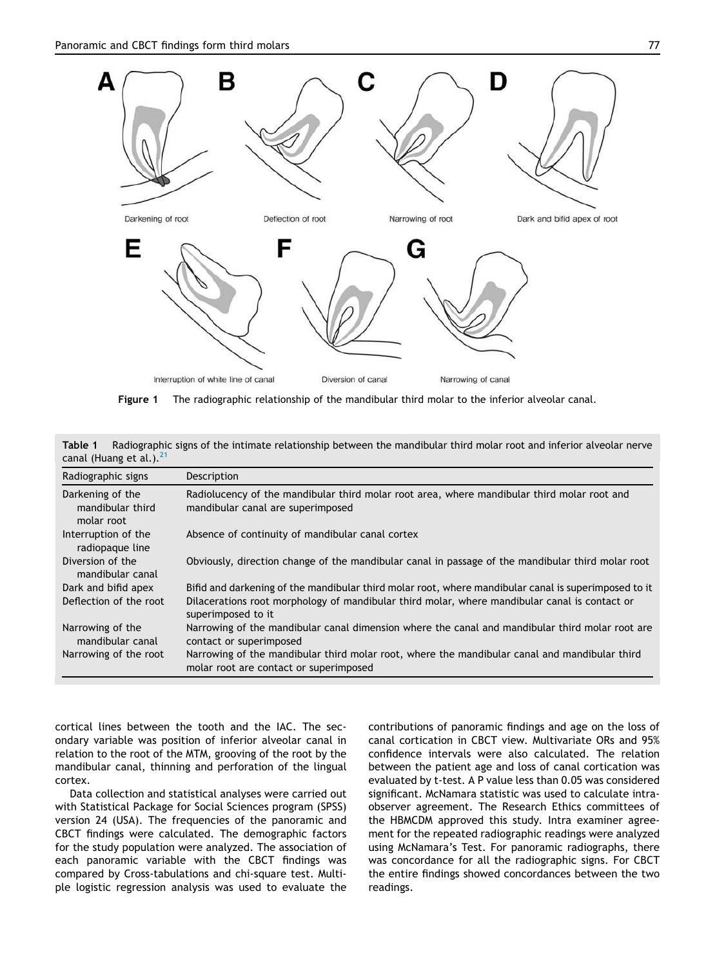

Figure 1 The radiographic relationship of the mandibular third molar to the inferior alveolar canal.

| canal (Huang et al.). <sup>21</sup>                |                                                                                                                                         |
|----------------------------------------------------|-----------------------------------------------------------------------------------------------------------------------------------------|
| Radiographic signs                                 | Description                                                                                                                             |
| Darkening of the<br>mandibular third<br>molar root | Radiolucency of the mandibular third molar root area, where mandibular third molar root and<br>mandibular canal are superimposed        |
| Interruption of the<br>radiopaque line             | Absence of continuity of mandibular canal cortex                                                                                        |
| Diversion of the<br>mandibular canal               | Obviously, direction change of the mandibular canal in passage of the mandibular third molar root                                       |
| Dark and bifid apex                                | Bifid and darkening of the mandibular third molar root, where mandibular canal is superimposed to it                                    |
| Deflection of the root                             | Dilacerations root morphology of mandibular third molar, where mandibular canal is contact or<br>superimposed to it                     |
| Narrowing of the<br>mandibular canal               | Narrowing of the mandibular canal dimension where the canal and mandibular third molar root are<br>contact or superimposed              |
| Narrowing of the root                              | Narrowing of the mandibular third molar root, where the mandibular canal and mandibular third<br>molar root are contact or superimposed |

Table 1 Radiographic signs of the intimate relationship between the mandibular third molar root and inferior alveolar nerve

cortical lines between the tooth and the IAC. The secondary variable was position of inferior alveolar canal in relation to the root of the MTM, grooving of the root by the mandibular canal, thinning and perforation of the lingual cortex.

Data collection and statistical analyses were carried out with Statistical Package for Social Sciences program (SPSS) version 24 (USA). The frequencies of the panoramic and CBCT findings were calculated. The demographic factors for the study population were analyzed. The association of each panoramic variable with the CBCT findings was compared by Cross-tabulations and chi-square test. Multiple logistic regression analysis was used to evaluate the contributions of panoramic findings and age on the loss of canal cortication in CBCT view. Multivariate ORs and 95% confidence intervals were also calculated. The relation between the patient age and loss of canal cortication was evaluated by t-test. A P value less than 0.05 was considered significant. McNamara statistic was used to calculate intraobserver agreement. The Research Ethics committees of the HBMCDM approved this study. Intra examiner agreement for the repeated radiographic readings were analyzed using McNamara's Test. For panoramic radiographs, there was concordance for all the radiographic signs. For CBCT the entire findings showed concordances between the two readings.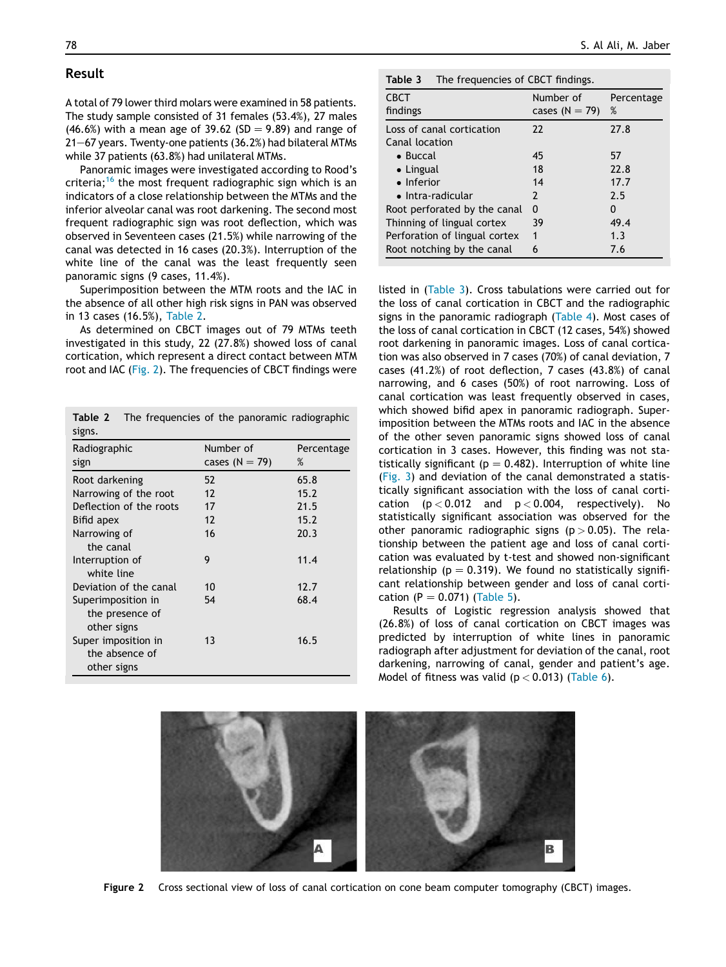## Result

A total of 79 lower third molars were examined in 58 patients. The study sample consisted of 31 females (53.4%), 27 males (46.6%) with a mean age of 39.62 (SD = 9.89) and range of  $21-67$  years. Twenty-one patients (36.2%) had bilateral MTMs while 37 patients (63.8%) had unilateral MTMs.

Panoramic images were investigated according to Rood's criteria;<sup>16</sup> the most frequent radiographic sign which is an indicators of a close relationship between the MTMs and the inferior alveolar canal was root darkening. The second most frequent radiographic sign was root deflection, which was observed in Seventeen cases (21.5%) while narrowing of the canal was detected in 16 cases (20.3%). Interruption of the white line of the canal was the least frequently seen panoramic signs (9 cases, 11.4%).

Superimposition between the MTM roots and the IAC in the absence of all other high risk signs in PAN was observed in 13 cases (16.5%), Table 2.

As determined on CBCT images out of 79 MTMs teeth investigated in this study, 22 (27.8%) showed loss of canal cortication, which represent a direct contact between MTM root and IAC (Fig. 2). The frequencies of CBCT findings were

|        | <b>Table 2</b> The frequencies of the panoramic radiographic |
|--------|--------------------------------------------------------------|
| signs. |                                                              |

| Radiographic                                         | Number of        | Percentage |
|------------------------------------------------------|------------------|------------|
| sign                                                 | cases $(N = 79)$ | %          |
| Root darkening                                       | 52               | 65.8       |
| Narrowing of the root                                | 12               | 15.2       |
| Deflection of the roots                              | 17               | 21.5       |
| Bifid apex                                           | 12               | 15.7       |
| Narrowing of<br>the canal                            | 16               | 20.3       |
| Interruption of<br>white line                        | 9                | 11.4       |
| Deviation of the canal                               | 10               | 12.7       |
| Superimposition in<br>the presence of<br>other signs | 54               | 68.4       |
| Super imposition in<br>the absence of<br>other signs | 13               | 16.5       |

| <b>CBCT</b><br>findings                     | Number of<br>cases $(N = 79)$ | Percentage<br>% |
|---------------------------------------------|-------------------------------|-----------------|
| Loss of canal cortication<br>Canal location | 22                            | 27.8            |
| $\bullet$ Buccal                            | 45                            | 57              |
| $\bullet$ Lingual                           | 18                            | 22.8            |
| $\bullet$ Inferior                          | 14                            | 17.7            |
| • Intra-radicular                           | 2                             | 7.5             |
| Root perforated by the canal                | 0                             | O               |
| Thinning of lingual cortex                  | 39                            | 49.4            |
| Perforation of lingual cortex               | 1                             | 1.3             |
| Root notching by the canal                  | 6                             | 7.6             |

listed in (Table 3). Cross tabulations were carried out for the loss of canal cortication in CBCT and the radiographic signs in the panoramic radiograph (Table 4). Most cases of the loss of canal cortication in CBCT (12 cases, 54%) showed root darkening in panoramic images. Loss of canal cortication was also observed in 7 cases (70%) of canal deviation, 7 cases (41.2%) of root deflection, 7 cases (43.8%) of canal narrowing, and 6 cases (50%) of root narrowing. Loss of canal cortication was least frequently observed in cases, which showed bifid apex in panoramic radiograph. Superimposition between the MTMs roots and IAC in the absence of the other seven panoramic signs showed loss of canal cortication in 3 cases. However, this finding was not statistically significant ( $p = 0.482$ ). Interruption of white line (Fig. 3) and deviation of the canal demonstrated a statistically significant association with the loss of canal cortication  $(p < 0.012$  and  $p < 0.004$ , respectively). No statistically significant association was observed for the other panoramic radiographic signs ( $p > 0.05$ ). The relationship between the patient age and loss of canal cortication was evaluated by t-test and showed non-significant relationship ( $p = 0.319$ ). We found no statistically significant relationship between gender and loss of canal cortication (P = 0.071) (Table 5).

Results of Logistic regression analysis showed that (26.8%) of loss of canal cortication on CBCT images was predicted by interruption of white lines in panoramic radiograph after adjustment for deviation of the canal, root darkening, narrowing of canal, gender and patient's age. Model of fitness was valid ( $p < 0.013$ ) (Table 6).



Figure 2 Cross sectional view of loss of canal cortication on cone beam computer tomography (CBCT) images.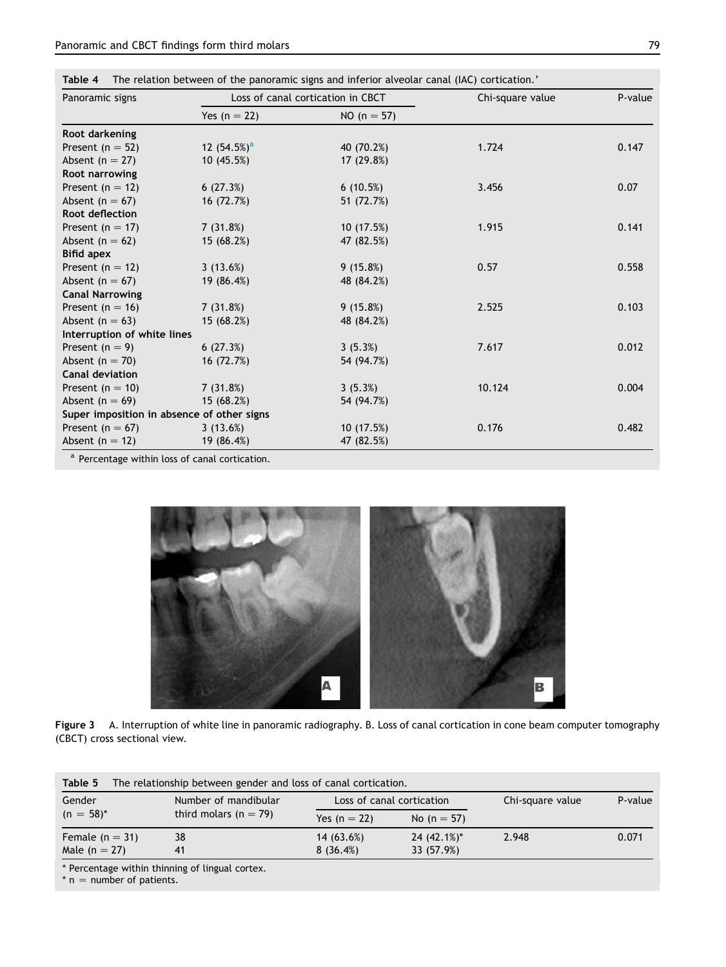|  |  |  |  |  |  |  | Table 4 The relation between of the panoramic signs and inferior alveolar canal (IAC) cortication.' |
|--|--|--|--|--|--|--|-----------------------------------------------------------------------------------------------------|
|--|--|--|--|--|--|--|-----------------------------------------------------------------------------------------------------|

| Panoramic signs                            |                | Loss of canal cortication in CBCT | Chi-square value | P-value |  |
|--------------------------------------------|----------------|-----------------------------------|------------------|---------|--|
|                                            | Yes $(n = 22)$ | $NO (n = 57)$                     |                  |         |  |
| Root darkening                             |                |                                   |                  |         |  |
| Present ( $n = 52$ )                       | 12 $(54.5%)^a$ | 40 (70.2%)                        | 1.724            | 0.147   |  |
| Absent ( $n = 27$ )                        | 10(45.5%)      | 17 (29.8%)                        |                  |         |  |
| Root narrowing                             |                |                                   |                  |         |  |
| Present ( $n = 12$ )                       | 6(27.3%)       | 6(10.5%)                          | 3.456            | 0.07    |  |
| Absent ( $n = 67$ )                        | 16 (72.7%)     | 51 (72.7%)                        |                  |         |  |
| Root deflection                            |                |                                   |                  |         |  |
| Present ( $n = 17$ )                       | 7(31.8%)       | 10(17.5%)                         | 1.915            | 0.141   |  |
| Absent ( $n = 62$ )                        | 15 (68.2%)     | 47 (82.5%)                        |                  |         |  |
| <b>Bifid apex</b>                          |                |                                   |                  |         |  |
| Present ( $n = 12$ )                       | 3(13.6%)       | 9(15.8%)                          | 0.57             | 0.558   |  |
| Absent ( $n = 67$ )                        | 19 (86.4%)     | 48 (84.2%)                        |                  |         |  |
| <b>Canal Narrowing</b>                     |                |                                   |                  |         |  |
| Present ( $n = 16$ )                       | 7(31.8%)       | 9(15.8%)                          | 2.525            | 0.103   |  |
| Absent $(n = 63)$                          | 15 (68.2%)     | 48 (84.2%)                        |                  |         |  |
| Interruption of white lines                |                |                                   |                  |         |  |
| Present $(n = 9)$                          | 6(27.3%)       | 3(5.3%)                           | 7.617            | 0.012   |  |
| Absent ( $n = 70$ )                        | 16 (72.7%)     | 54 (94.7%)                        |                  |         |  |
| <b>Canal deviation</b>                     |                |                                   |                  |         |  |
| Present ( $n = 10$ )                       | 7(31.8%)       | 3(5.3%)                           | 10.124           | 0.004   |  |
| Absent ( $n = 69$ )                        | 15 (68.2%)     | 54 (94.7%)                        |                  |         |  |
| Super imposition in absence of other signs |                |                                   |                  |         |  |
| Present ( $n = 67$ )                       | 3(13.6%)       | 10(17.5%)                         | 0.176            | 0.482   |  |
| Absent $(n = 12)$                          | 19 (86.4%)     | 47 (82.5%)                        |                  |         |  |

<sup>a</sup> Percentage within loss of canal cortication.



Figure 3 A. Interruption of white line in panoramic radiography. B. Loss of canal cortication in cone beam computer tomography (CBCT) cross sectional view.

| The relationship between gender and loss of canal cortication.<br>Table 5 |                           |                           |                |                  |         |  |  |
|---------------------------------------------------------------------------|---------------------------|---------------------------|----------------|------------------|---------|--|--|
| Gender                                                                    | Number of mandibular      | Loss of canal cortication |                | Chi-square value | P-value |  |  |
| $(n = 58)^{*}$                                                            | third molars ( $n = 79$ ) | Yes $(n = 22)$            | No (n = 57)    |                  |         |  |  |
| Female $(n = 31)$                                                         | 38                        | 14 (63.6%)                | $24(42.1\%)^*$ | 2.948            | 0.071   |  |  |
| Male $(n = 27)$                                                           | 41                        | 8(36.4%)                  | 33 (57.9%)     |                  |         |  |  |

\* Percentage within thinning of lingual cortex.

 $*$  n = number of patients.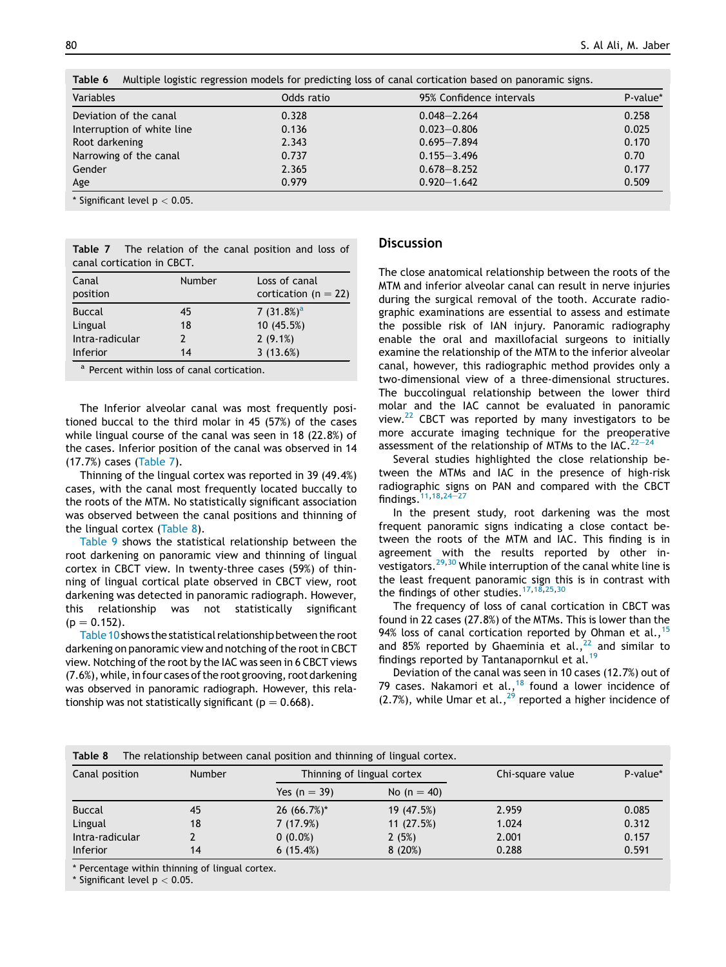| Table 6<br>Multiple logistic regression models for predicting loss of canal cortication based on panoramic signs. |            |                          |          |  |  |  |
|-------------------------------------------------------------------------------------------------------------------|------------|--------------------------|----------|--|--|--|
| Variables                                                                                                         | Odds ratio | 95% Confidence intervals | P-value* |  |  |  |
| Deviation of the canal                                                                                            | 0.328      | $0.048 - 2.264$          | 0.258    |  |  |  |
| Interruption of white line                                                                                        | 0.136      | $0.023 - 0.806$          | 0.025    |  |  |  |
| Root darkening                                                                                                    | 2.343      | $0.695 - 7.894$          | 0.170    |  |  |  |
| Narrowing of the canal                                                                                            | 0.737      | $0.155 - 3.496$          | 0.70     |  |  |  |
| Gender                                                                                                            | 2.365      | $0.678 - 8.252$          | 0.177    |  |  |  |
| Age                                                                                                               | 0.979      | $0.920 - 1.642$          | 0.509    |  |  |  |

Table 6 Multiple logistic regression models for predicting loss of canal cortication based on panoramic signs.

\* Significant level  $p < 0.05$ .

| <b>Table 7</b> The relation of the canal position and loss of |  |  |  |  |  |
|---------------------------------------------------------------|--|--|--|--|--|
| canal cortication in CBCT.                                    |  |  |  |  |  |

| Canal<br>position | Number        | Loss of canal<br>cortication ( $n = 22$ ) |
|-------------------|---------------|-------------------------------------------|
| <b>Buccal</b>     | 45            | 7 $(31.8%)^a$                             |
| Lingual           | 18            | 10 (45.5%)                                |
| Intra-radicular   | $\mathcal{P}$ | $2(9.1\%)$                                |
| <b>Inferior</b>   | 14            | 3(13.6%)                                  |

<sup>a</sup> Percent within loss of canal cortication.

The Inferior alveolar canal was most frequently positioned buccal to the third molar in 45 (57%) of the cases while lingual course of the canal was seen in 18 (22.8%) of the cases. Inferior position of the canal was observed in 14 (17.7%) cases (Table 7).

Thinning of the lingual cortex was reported in 39 (49.4%) cases, with the canal most frequently located buccally to the roots of the MTM. No statistically significant association was observed between the canal positions and thinning of the lingual cortex (Table 8).

Table 9 shows the statistical relationship between the root darkening on panoramic view and thinning of lingual cortex in CBCT view. In twenty-three cases (59%) of thinning of lingual cortical plate observed in CBCT view, root darkening was detected in panoramic radiograph. However, this relationship was not statistically significant  $(p = 0.152)$ .

Table 10shows the statistical relationship between the root darkening on panoramic view and notching of the root in CBCT view. Notching of the root by the IAC was seen in 6 CBCT views  $(7.6%)$ , while, in four cases of the root grooving, root darkening was observed in panoramic radiograph. However, this relationship was not statistically significant ( $p = 0.668$ ).

## **Discussion**

The close anatomical relationship between the roots of the MTM and inferior alveolar canal can result in nerve injuries during the surgical removal of the tooth. Accurate radiographic examinations are essential to assess and estimate the possible risk of IAN injury. Panoramic radiography enable the oral and maxillofacial surgeons to initially examine the relationship of the MTM to the inferior alveolar canal, however, this radiographic method provides only a two-dimensional view of a three-dimensional structures. The buccolingual relationship between the lower third molar and the IAC cannot be evaluated in panoramic view.<sup>22</sup> CBCT was reported by many investigators to be more accurate imaging technique for the preoperative assessment of the relationship of MTMs to the IAC.  $22-24$ 

Several studies highlighted the close relationship between the MTMs and IAC in the presence of high-risk radiographic signs on PAN and compared with the CBCT findings.  $11,18,24-27$ 

In the present study, root darkening was the most frequent panoramic signs indicating a close contact between the roots of the MTM and IAC. This finding is in agreement with the results reported by other investigators.29,30 While interruption of the canal white line is the least frequent panoramic sign this is in contrast with the findings of other studies.  $17,18,25,30$ 

The frequency of loss of canal cortication in CBCT was found in 22 cases (27.8%) of the MTMs. This is lower than the 94% loss of canal cortication reported by Ohman et al.,  $15$ and 85% reported by Ghaeminia et al.,  $22$  and similar to findings reported by Tantanapornkul et al.<sup>19</sup>

Deviation of the canal was seen in 10 cases (12.7%) out of 79 cases. Nakamori et al.,  $18$  found a lower incidence of  $(2.7%)$ , while Umar et al.,  $^{29}$  reported a higher incidence of

| Table 8<br>The relationship between canal position and thinning of lingual cortex. |        |                |                            |       |          |  |  |
|------------------------------------------------------------------------------------|--------|----------------|----------------------------|-------|----------|--|--|
| Canal position                                                                     | Number |                | Thinning of lingual cortex |       | P-value* |  |  |
|                                                                                    |        | Yes $(n = 39)$ | No (n = 40)                |       |          |  |  |
| <b>Buccal</b>                                                                      | 45     | $26(66.7\%)*$  | 19 (47.5%)                 | 2.959 | 0.085    |  |  |
| Lingual                                                                            | 18     | 7(17.9%)       | 11(27.5%)                  | 1.024 | 0.312    |  |  |
| Intra-radicular                                                                    |        | $0(0.0\%)$     | 2(5%)                      | 2.001 | 0.157    |  |  |
| Inferior                                                                           | 14     | 6(15.4%)       | 8(20%)                     | 0.288 | 0.591    |  |  |

\* Percentage within thinning of lingual cortex.

\* Significant level  $p < 0.05$ .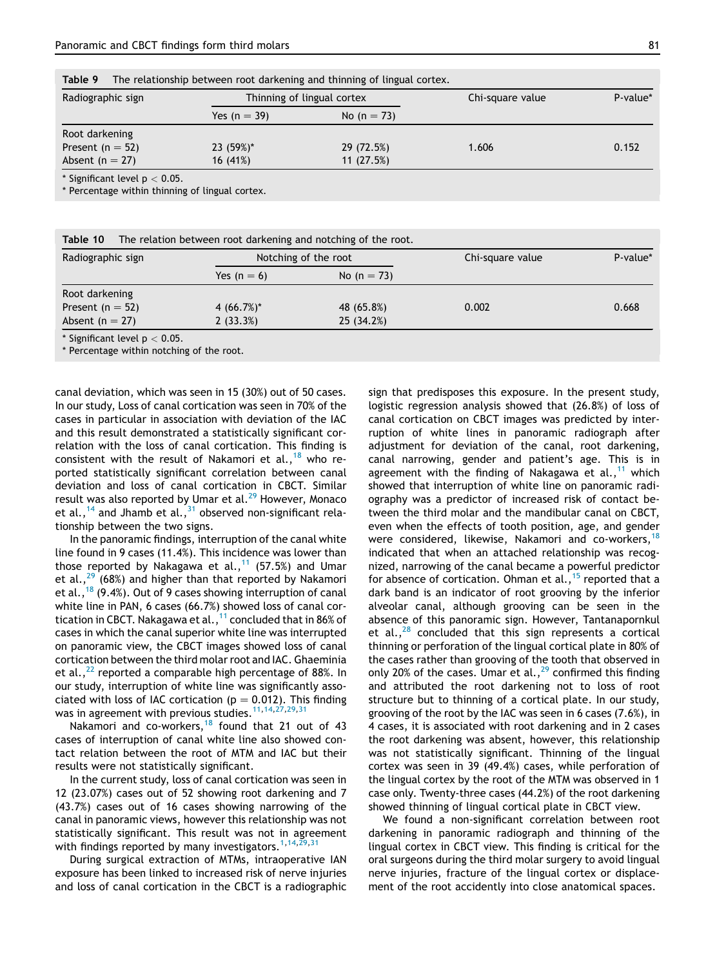Table 9 The relationship between root darkening and thinning of lingual cortex.

| Radiographic sign                   | Thinning of lingual cortex |               | Chi-square value | P-value* |
|-------------------------------------|----------------------------|---------------|------------------|----------|
|                                     | Yes $(n = 39)$             | No $(n = 73)$ |                  |          |
| Root darkening                      |                            |               |                  |          |
| Present ( $n = 52$ )                | 23 (59%)*                  | 29 (72.5%)    | 1.606            | 0.152    |
| Absent ( $n = 27$ )                 | 16 (41%)                   | 11(27.5%)     |                  |          |
| * Cignificant lovel $n \times 0.05$ |                            |               |                  |          |

Significant level p

\* Percentage within thinning of lingual cortex.

| Radiographic sign    | Notching of the root |                | Chi-square value | P-value* |
|----------------------|----------------------|----------------|------------------|----------|
|                      | Yes $(n = 6)$        | No (n = $73$ ) |                  |          |
| Root darkening       |                      |                |                  |          |
| Present ( $n = 52$ ) | 4 $(66.7\%)^*$       | 48 (65.8%)     | 0.002            | 0.668    |
| Absent $(n = 27)$    | 2(33.3%)             | 25(34.2%)      |                  |          |

Percentage within notching of the root.

canal deviation, which was seen in 15 (30%) out of 50 cases. In our study, Loss of canal cortication was seen in 70% of the cases in particular in association with deviation of the IAC and this result demonstrated a statistically significant correlation with the loss of canal cortication. This finding is consistent with the result of Nakamori et al.,<sup>18</sup> who reported statistically significant correlation between canal deviation and loss of canal cortication in CBCT. Similar result was also reported by Umar et al.<sup>29</sup> However, Monaco et al.,<sup>14</sup> and Jhamb et al.,<sup>31</sup> observed non-significant relationship between the two signs.

In the panoramic findings, interruption of the canal white line found in 9 cases (11.4%). This incidence was lower than those reported by Nakagawa et al., $11$  (57.5%) and Umar et al., $29$  (68%) and higher than that reported by Nakamori et al.,<sup>18</sup> (9.4%). Out of 9 cases showing interruption of canal white line in PAN, 6 cases (66.7%) showed loss of canal cortication in CBCT. Nakagawa et al., $^{11}$  concluded that in 86% of cases in which the canal superior white line was interrupted on panoramic view, the CBCT images showed loss of canal cortication between the third molar root and IAC. Ghaeminia et al.,  $^{22}$  reported a comparable high percentage of 88%. In our study, interruption of white line was significantly associated with loss of IAC cortication ( $p = 0.012$ ). This finding was in agreement with previous studies.<sup>11,14,27,29,31</sup>

Nakamori and co-workers, $18$  found that 21 out of 43 cases of interruption of canal white line also showed contact relation between the root of MTM and IAC but their results were not statistically significant.

In the current study, loss of canal cortication was seen in 12 (23.07%) cases out of 52 showing root darkening and 7 (43.7%) cases out of 16 cases showing narrowing of the canal in panoramic views, however this relationship was not statistically significant. This result was not in agreement with findings reported by many investigators.<sup>1,14,29,31</sup>

During surgical extraction of MTMs, intraoperative IAN exposure has been linked to increased risk of nerve injuries and loss of canal cortication in the CBCT is a radiographic sign that predisposes this exposure. In the present study, logistic regression analysis showed that (26.8%) of loss of canal cortication on CBCT images was predicted by interruption of white lines in panoramic radiograph after adjustment for deviation of the canal, root darkening, canal narrowing, gender and patient's age. This is in agreement with the finding of Nakagawa et al.,  $11$  which showed that interruption of white line on panoramic radiography was a predictor of increased risk of contact between the third molar and the mandibular canal on CBCT, even when the effects of tooth position, age, and gender were considered, likewise, Nakamori and co-workers,<sup>18</sup> indicated that when an attached relationship was recognized, narrowing of the canal became a powerful predictor for absence of cortication. Ohman et al.,  $15$  reported that a dark band is an indicator of root grooving by the inferior alveolar canal, although grooving can be seen in the absence of this panoramic sign. However, Tantanapornkul et al.,  $^{28}$  concluded that this sign represents a cortical thinning or perforation of the lingual cortical plate in 80% of the cases rather than grooving of the tooth that observed in only 20% of the cases. Umar et al.,  $^{29}$  confirmed this finding and attributed the root darkening not to loss of root structure but to thinning of a cortical plate. In our study, grooving of the root by the IAC was seen in 6 cases (7.6%), in 4 cases, it is associated with root darkening and in 2 cases the root darkening was absent, however, this relationship was not statistically significant. Thinning of the lingual cortex was seen in 39 (49.4%) cases, while perforation of the lingual cortex by the root of the MTM was observed in 1 case only. Twenty-three cases (44.2%) of the root darkening showed thinning of lingual cortical plate in CBCT view.

We found a non-significant correlation between root darkening in panoramic radiograph and thinning of the lingual cortex in CBCT view. This finding is critical for the oral surgeons during the third molar surgery to avoid lingual nerve injuries, fracture of the lingual cortex or displacement of the root accidently into close anatomical spaces.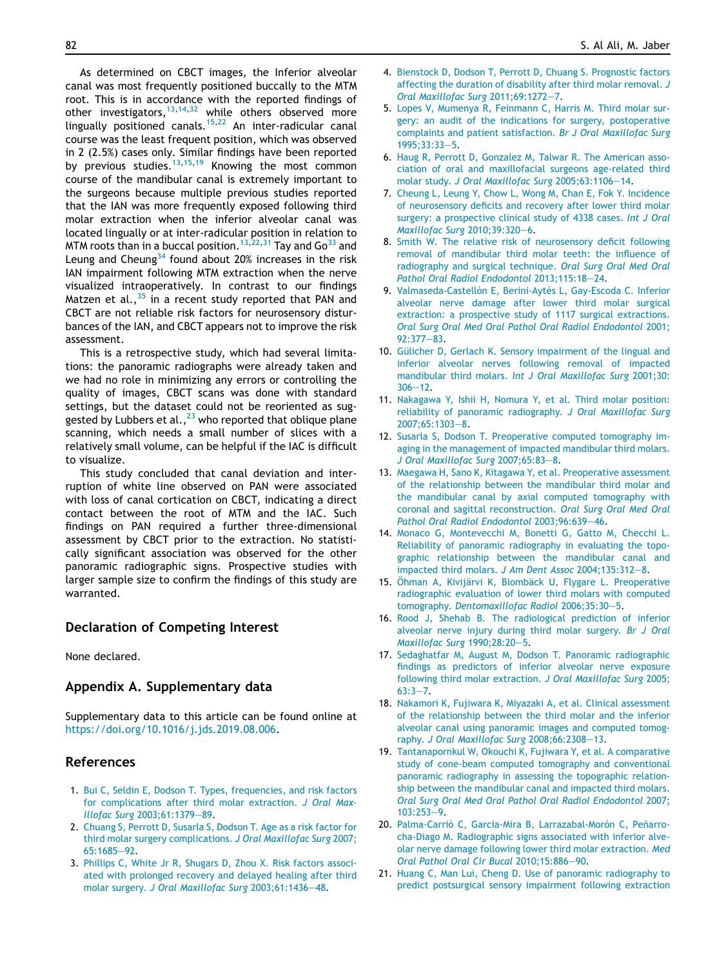As determined on CBCT images, the Inferior alveolar canal was most frequently positioned buccally to the MTM root. This is in accordance with the reported findings of other investigators,  $13,14,32$  while others observed more lingually positioned canals.<sup>15,22</sup> An inter-radicular canal course was the least frequent position, which was observed in 2 (2.5%) cases only. Similar findings have been reported by previous studies.<sup>13,15,19</sup> Knowing the most common course of the mandibular canal is extremely important to the surgeons because multiple previous studies reported that the IAN was more frequently exposed following third molar extraction when the inferior alveolar canal was located lingually or at inter-radicular position in relation to MTM roots than in a buccal position.<sup>13,22,31</sup> Tay and Go<sup>33</sup> and Leung and Cheung $34$  found about 20% increases in the risk IAN impairment following MTM extraction when the nerve visualized intraoperatively. In contrast to our findings Matzen et al.,  $35$  in a recent study reported that PAN and CBCT are not reliable risk factors for neurosensory disturbances of the IAN, and CBCT appears not to improve the risk assessment.

This is a retrospective study, which had several limitations: the panoramic radiographs were already taken and we had no role in minimizing any errors or controlling the quality of images, CBCT scans was done with standard settings, but the dataset could not be reoriented as suggested by Lubbers et al.,  $^{23}$  who reported that oblique plane scanning, which needs a small number of slices with a relatively small volume, can be helpful if the IAC is difficult to visualize.

This study concluded that canal deviation and interruption of white line observed on PAN were associated with loss of canal cortication on CBCT, indicating a direct contact between the root of MTM and the IAC. Such findings on PAN required a further three-dimensional assessment by CBCT prior to the extraction. No statistically significant association was observed for the other panoramic radiographic signs. Prospective studies with larger sample size to confirm the findings of this study are warranted.

# Declaration of Competing Interest

None declared.

#### Appendix A. Supplementary data

Supplementary data to this article can be found online at https://doi.org/10.1016/j.jds.2019.08.006.

# References

- 1. Bui C, Seldin E, Dodson T. Types, frequencies, and risk factors for complications after third molar extraction. J Oral Maxillofac Surg 2003;61:1379-89.
- 2. Chuang S, Perrott D, Susarla S, Dodson T. Age as a risk factor for third molar surgery complications. J Oral Maxillofac Surg 2007; 65:1685-92.
- 3. Phillips C, White Jr R, Shugars D, Zhou X. Risk factors associated with prolonged recovery and delayed healing after third molar surgery. J Oral Maxillofac Surg 2003;61:1436-48.
- 4. Bienstock D, Dodson T, Perrott D, Chuang S. Prognostic factors affecting the duration of disability after third molar removal. J Oral Maxillofac Surg 2011;69:1272-7.
- 5. Lopes V, Mumenya R, Feinmann C, Harris M. Third molar surgery: an audit of the indications for surgery, postoperative complaints and patient satisfaction. Br J Oral Maxillofac Surg 1995;33:33-5.
- 6. Haug R, Perrott D, Gonzalez M, Talwar R. The American association of oral and maxillofacial surgeons age-related third molar study. J Oral Maxillofac Surg 2005:63:1106-14.
- 7. Cheung L, Leung Y, Chow L, Wong M, Chan E, Fok Y. Incidence of neurosensory deficits and recovery after lower third molar surgery: a prospective clinical study of 4338 cases. Int J Oral Maxillofac Surg 2010;39:320-6.
- 8. Smith W. The relative risk of neurosensory deficit following removal of mandibular third molar teeth: the influence of radiography and surgical technique. Oral Surg Oral Med Oral Pathol Oral Radiol Endodontol 2013;115:18-24.
- 9. Valmaseda-Castellón E, Berini-Aytés L, Gay-Escoda C. Inferior alveolar nerve damage after lower third molar surgical extraction: a prospective study of 1117 surgical extractions. Oral Surg Oral Med Oral Pathol Oral Radiol Endodontol 2001;  $92:377 - 83.$
- 10. Gülicher D, Gerlach K. Sensory impairment of the lingual and inferior alveolar nerves following removal of impacted mandibular third molars. Int J Oral Maxillofac Surg 2001;30:  $306 - 12$ .
- 11. Nakagawa Y, Ishii H, Nomura Y, et al. Third molar position: reliability of panoramic radiography. J Oral Maxillofac Surg 2007;65:1303-8.
- 12. Susarla S, Dodson T. Preoperative computed tomography imaging in the management of impacted mandibular third molars. J Oral Maxillofac Surg 2007;65:83-8.
- 13. Maegawa H, Sano K, Kitagawa Y, et al. Preoperative assessment of the relationship between the mandibular third molar and the mandibular canal by axial computed tomography with coronal and sagittal reconstruction. Oral Surg Oral Med Oral Pathol Oral Radiol Endodontol 2003;96:639-46.
- 14. Monaco G, Montevecchi M, Bonetti G, Gatto M, Checchi L. Reliability of panoramic radiography in evaluating the topographic relationship between the mandibular canal and impacted third molars. J Am Dent Assoc 2004;135:312-8.
- 15. Öhman A, Kivijärvi K, Blombäck U, Flygare L. Preoperative radiographic evaluation of lower third molars with computed tomography. Dentomaxillofac Radiol 2006:35:30-5.
- 16. Rood J, Shehab B. The radiological prediction of inferior alveolar nerve injury during third molar surgery. Br J Oral Maxillofac Surg 1990;28:20-5.
- 17. Sedaghatfar M, August M, Dodson T. Panoramic radiographic findings as predictors of inferior alveolar nerve exposure following third molar extraction. J Oral Maxillofac Surg 2005;  $63:3 - 7.$
- 18. Nakamori K, Fujiwara K, Miyazaki A, et al. Clinical assessment of the relationship between the third molar and the inferior alveolar canal using panoramic images and computed tomography. J Oral Maxillofac Surg 2008;66:2308-13.
- 19. Tantanapornkul W, Okouchi K, Fujiwara Y, et al. A comparative study of cone-beam computed tomography and conventional panoramic radiography in assessing the topographic relationship between the mandibular canal and impacted third molars. Oral Surg Oral Med Oral Pathol Oral Radiol Endodontol 2007;  $103:253 - 9.$
- 20. Palma-Carrió C, García-Mira B, Larrazabal-Morón C, Peñarrocha-Diago M. Radiographic signs associated with inferior alveolar nerve damage following lower third molar extraction. Med Oral Pathol Oral Cir Bucal 2010:15:886-90.
- 21. Huang C, Man Lui, Cheng D. Use of panoramic radiography to predict postsurgical sensory impairment following extraction